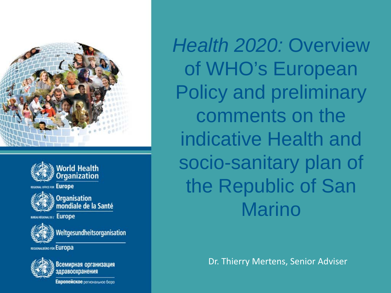



**FICE FOR Europe** 



Organisation<br>mondiale de la Santé

**BUREAU REGIONAL DE L'EUFOPE** 



Weltgesundheitsorganisation

REGIONALBURO FOR EUropa



Всемирная организация здравоохранения

Европейское региональное бюро

*Health 2020:* Overview of WHO's European Policy and preliminary comments on the indicative Health and socio-sanitary plan of the Republic of San Marino

Dr. Thierry Mertens, Senior Adviser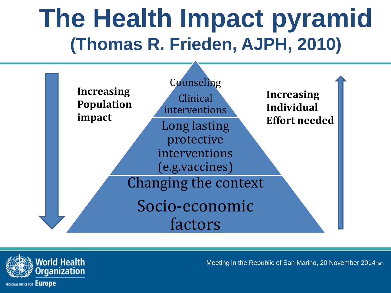### **The Health Impact pyramid (Thomas R. Frieden, AJPH, 2010)**



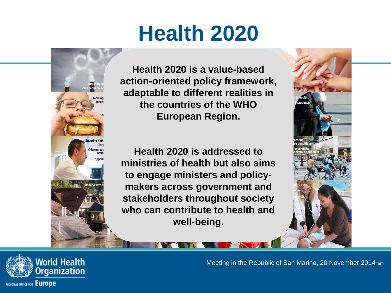### **Health 2020**



**Health 2020 is a value-based action-oriented policy framework, adaptable to different realities in the countries of the WHO European Region.** 

**Health 2020 is addressed to ministries of health but also aims to engage ministers and policymakers across government and stakeholders throughout society who can contribute to health and well-being.**



**/orld Health** ganization **REGIONAL OFFICE FOR EUrope**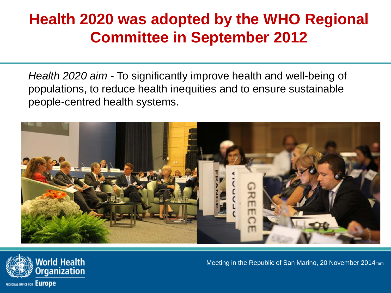#### **Health 2020 was adopted by the WHO Regional Committee in September 2012**

*Health 2020 aim -* To significantly improve health and well-being of populations, to reduce health inequities and to ensure sustainable people-centred health systems.



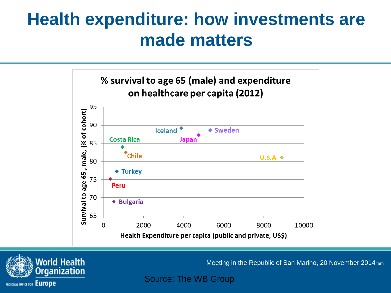### **Health expenditure: how investments are made matters**





Meeting in the Republic of San Marino, 20 November 2014 tem

Source: The WB Group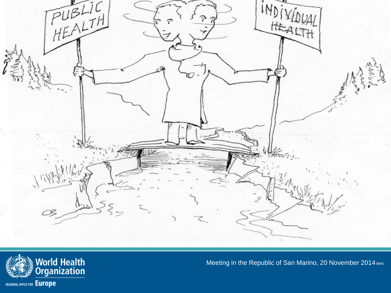

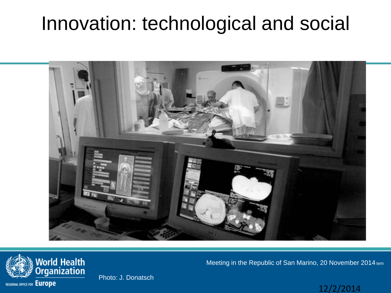### Innovation: technological and social





Photo: J. Donatsch

Meeting in the Republic of San Marino, 20 November 2014 tem

#### 12/2/2014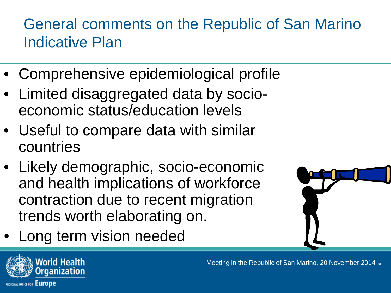#### General comments on the Republic of San Marino Indicative Plan

- Comprehensive epidemiological profile
- Limited disaggregated data by socioeconomic status/education levels
- Useful to compare data with similar countries
- Likely demographic, socio-economic and health implications of workforce contraction due to recent migration trends worth elaborating on.
- Long term vision needed



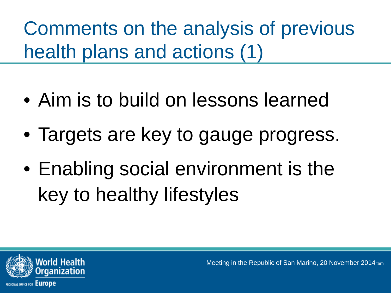Comments on the analysis of previous health plans and actions (1)

- Aim is to build on lessons learned
- Targets are key to gauge progress.
- Enabling social environment is the key to healthy lifestyles

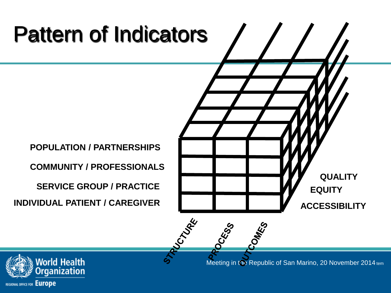## Pattern of Indicators

**POPULATION / PARTNERSHIPS**

**COMMUNITY / PROFESSIONALS**

**SERVICE GROUP / PRACTICE**

**QUALITYEQUITY INDIVIDUAL PATIENT / CAREGIVER ACCESSIBILITY PUCTURE** COMES

CRSS

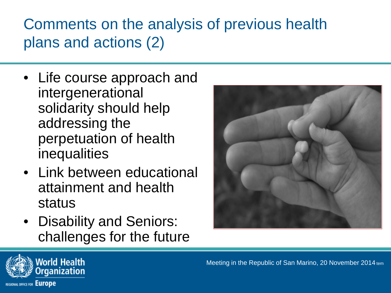#### Comments on the analysis of previous health plans and actions (2)

- Life course approach and intergenerational solidarity should help addressing the perpetuation of health inequalities
- Link between educational attainment and health status
- Disability and Seniors: challenges for the future



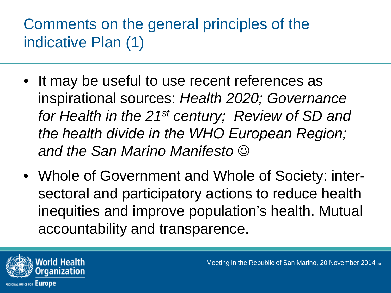#### Comments on the general principles of the indicative Plan (1)

- It may be useful to use recent references as inspirational sources: *Health 2020; Governance for Health in the 21st century; Review of SD and the health divide in the WHO European Region; and the San Marino Manifesto*
- Whole of Government and Whole of Society: intersectoral and participatory actions to reduce health inequities and improve population's health. Mutual accountability and transparence.

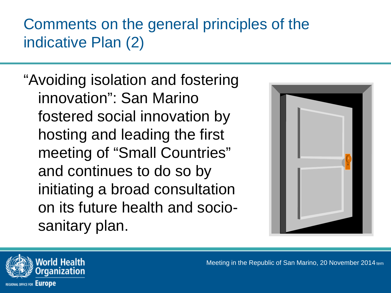#### Comments on the general principles of the indicative Plan (2)

"Avoiding isolation and fostering innovation": San Marino fostered social innovation by hosting and leading the first meeting of "Small Countries" and continues to do so by initiating a broad consultation on its future health and sociosanitary plan.



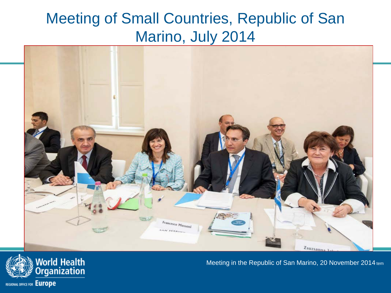#### Meeting of Small Countries, Republic of San Marino, July 2014



![](_page_13_Picture_2.jpeg)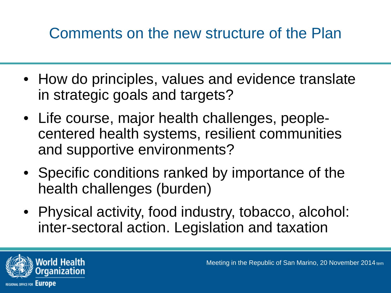#### Comments on the new structure of the Plan

- How do principles, values and evidence translate in strategic goals and targets?
- Life course, major health challenges, peoplecentered health systems, resilient communities and supportive environments?
- Specific conditions ranked by importance of the health challenges (burden)
- Physical activity, food industry, tobacco, alcohol: inter-sectoral action. Legislation and taxation

![](_page_14_Picture_5.jpeg)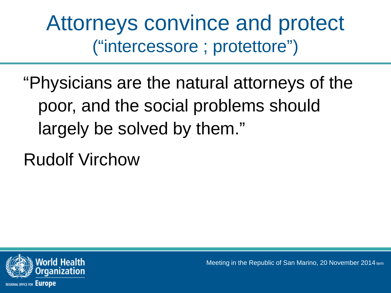Attorneys convince and protect ("intercessore ; protettore")

"Physicians are the natural attorneys of the poor, and the social problems should largely be solved by them."

Rudolf Virchow

![](_page_15_Picture_3.jpeg)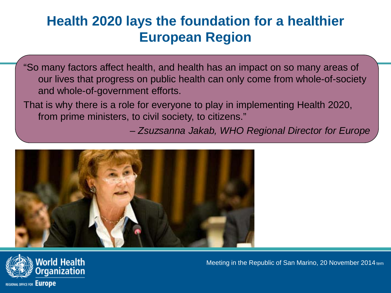#### **Health 2020 lays the foundation for a healthier European Region**

"So many factors affect health, and health has an impact on so many areas of our lives that progress on public health can only come from whole-of-society and whole-of-government efforts.

That is why there is a role for everyone to play in implementing Health 2020, from prime ministers, to civil society, to citizens."

*– Zsuzsanna Jakab, WHO Regional Director for Europe*

![](_page_16_Picture_4.jpeg)

![](_page_16_Picture_5.jpeg)